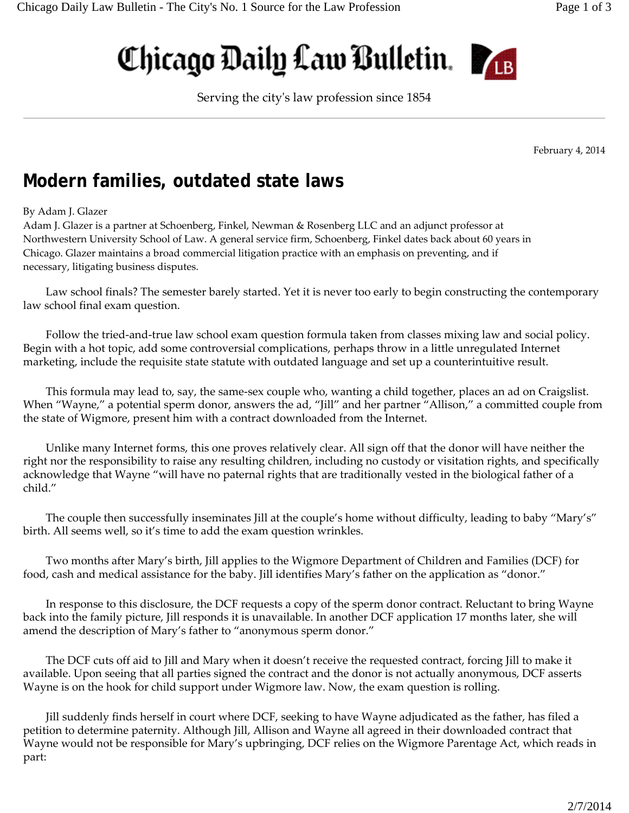## Chicago Daily Law Bulletin.



Serving the cityʹs law profession since 1854

February 4, 2014

## **Modern families, outdated state laws**

## By Adam J. Glazer

Adam J. Glazer is a partner at Schoenberg, Finkel, Newman & Rosenberg LLC and an adjunct professor at Northwestern University School of Law. A general service firm, Schoenberg, Finkel dates back about 60 years in Chicago. Glazer maintains a broad commercial litigation practice with an emphasis on preventing, and if necessary, litigating business disputes.

Law school finals? The semester barely started. Yet it is never too early to begin constructing the contemporary law school final exam question.

Follow the tried-and-true law school exam question formula taken from classes mixing law and social policy. Begin with a hot topic, add some controversial complications, perhaps throw in a little unregulated Internet marketing, include the requisite state statute with outdated language and set up a counterintuitive result.

This formula may lead to, say, the same-sex couple who, wanting a child together, places an ad on Craigslist. When "Wayne," a potential sperm donor, answers the ad, "Jill" and her partner "Allison," a committed couple from the state of Wigmore, present him with a contract downloaded from the Internet.

Unlike many Internet forms, this one proves relatively clear. All sign off that the donor will have neither the right nor the responsibility to raise any resulting children, including no custody or visitation rights, and specifically acknowledge that Wayne "will have no paternal rights that are traditionally vested in the biological father of a child."

The couple then successfully inseminates Jill at the couple's home without difficulty, leading to baby "Mary's" birth. All seems well, so it's time to add the exam question wrinkles.

Two months after Mary's birth, Jill applies to the Wigmore Department of Children and Families (DCF) for food, cash and medical assistance for the baby. Jill identifies Mary's father on the application as "donor."

In response to this disclosure, the DCF requests a copy of the sperm donor contract. Reluctant to bring Wayne back into the family picture, Jill responds it is unavailable. In another DCF application 17 months later, she will amend the description of Mary's father to "anonymous sperm donor."

The DCF cuts off aid to Jill and Mary when it doesn't receive the requested contract, forcing Jill to make it available. Upon seeing that all parties signed the contract and the donor is not actually anonymous, DCF asserts Wayne is on the hook for child support under Wigmore law. Now, the exam question is rolling.

Jill suddenly finds herself in court where DCF, seeking to have Wayne adjudicated as the father, has filed a petition to determine paternity. Although Jill, Allison and Wayne all agreed in their downloaded contract that Wayne would not be responsible for Mary's upbringing, DCF relies on the Wigmore Parentage Act, which reads in part: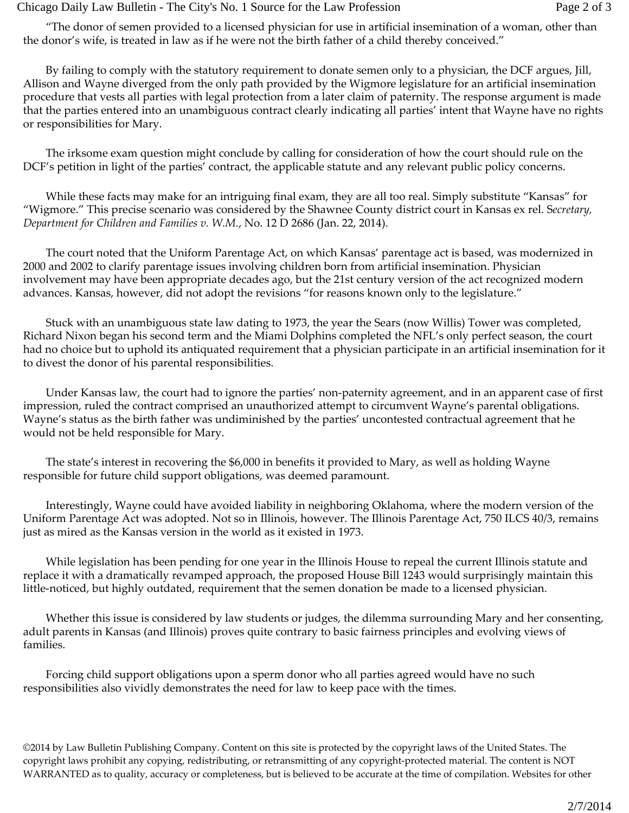## Chicago Daily Law Bulletin - The City's No. 1 Source for the Law Profession Page 2 of 3

"The donor of semen provided to a licensed physician for use in artificial insemination of a woman, other than the donor's wife, is treated in law as if he were not the birth father of a child thereby conceived."

By failing to comply with the statutory requirement to donate semen only to a physician, the DCF argues, Jill, Allison and Wayne diverged from the only path provided by the Wigmore legislature for an artificial insemination procedure that vests all parties with legal protection from a later claim of paternity. The response argument is made that the parties entered into an unambiguous contract clearly indicating all parties' intent that Wayne have no rights or responsibilities for Mary.

The irksome exam question might conclude by calling for consideration of how the court should rule on the DCF's petition in light of the parties' contract, the applicable statute and any relevant public policy concerns.

While these facts may make for an intriguing final exam, they are all too real. Simply substitute "Kansas" for "Wigmore." This precise scenario was considered by the Shawnee County district court in Kansas ex rel. S*ecretary, Department for Children and Families v. W.M.*, No. 12 D 2686 (Jan. 22, 2014).

The court noted that the Uniform Parentage Act, on which Kansas' parentage act is based, was modernized in 2000 and 2002 to clarify parentage issues involving children born from artificial insemination. Physician involvement may have been appropriate decades ago, but the 21st century version of the act recognized modern advances. Kansas, however, did not adopt the revisions "for reasons known only to the legislature."

Stuck with an unambiguous state law dating to 1973, the year the Sears (now Willis) Tower was completed, Richard Nixon began his second term and the Miami Dolphins completed the NFL's only perfect season, the court had no choice but to uphold its antiquated requirement that a physician participate in an artificial insemination for it to divest the donor of his parental responsibilities.

Under Kansas law, the court had to ignore the parties' non‐paternity agreement, and in an apparent case of first impression, ruled the contract comprised an unauthorized attempt to circumvent Wayne's parental obligations. Wayne's status as the birth father was undiminished by the parties' uncontested contractual agreement that he would not be held responsible for Mary.

The state's interest in recovering the \$6,000 in benefits it provided to Mary, as well as holding Wayne responsible for future child support obligations, was deemed paramount.

Interestingly, Wayne could have avoided liability in neighboring Oklahoma, where the modern version of the Uniform Parentage Act was adopted. Not so in Illinois, however. The Illinois Parentage Act, 750 ILCS 40/3, remains just as mired as the Kansas version in the world as it existed in 1973.

While legislation has been pending for one year in the Illinois House to repeal the current Illinois statute and replace it with a dramatically revamped approach, the proposed House Bill 1243 would surprisingly maintain this little‐noticed, but highly outdated, requirement that the semen donation be made to a licensed physician.

Whether this issue is considered by law students or judges, the dilemma surrounding Mary and her consenting, adult parents in Kansas (and Illinois) proves quite contrary to basic fairness principles and evolving views of families.

Forcing child support obligations upon a sperm donor who all parties agreed would have no such responsibilities also vividly demonstrates the need for law to keep pace with the times.

©2014 by Law Bulletin Publishing Company. Content on this site is protected by the copyright laws of the United States. The copyright laws prohibit any copying, redistributing, or retransmitting of any copyright‐protected material. The content is NOT WARRANTED as to quality, accuracy or completeness, but is believed to be accurate at the time of compilation. Websites for other